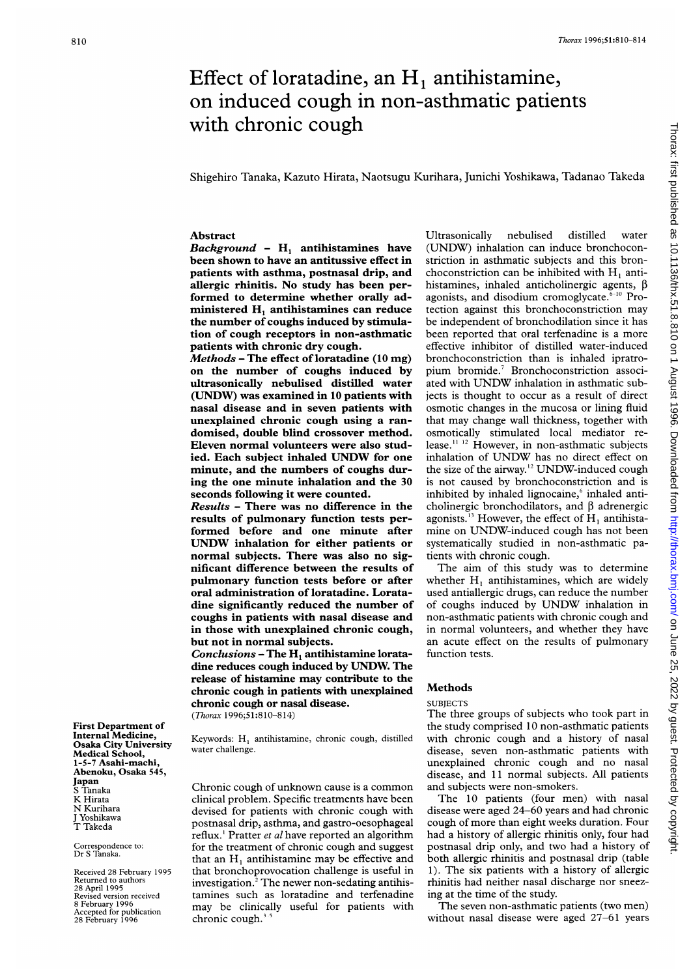# Effect of loratadine, an  $H_1$  antihistamine, on induced cough in non-asthmatic patients with chronic cough

Shigehiro Tanaka, Kazuto Hirata, Naotsugu Kurihara, Junichi Yoshikawa, Tadanao Takeda

# Abstract

Background -  $H_1$  antihistamines have been shown to have an antitussive effect in patients with asthma, postnasal drip, and allergic rhinitis. No study has been performed to determine whether orally administered  $H_1$  antihistamines can reduce the number of coughs induced by stimulation of cough receptors in non-asthmatic patients with chronic dry cough.

 $Methods - The effect of Ioratadine (10 mg)$ on the number of coughs induced by ultrasonically nebulised distilled water (UNDW) was examined in <sup>10</sup> patients with nasal disease and in seven patients with unexplained chronic cough using a randomised, double blind crossover method. Eleven normal volunteers were also studied. Each subject inhaled UNDW for one minute, and the numbers of coughs during the one minute inhalation and the 30 seconds following it were counted.

Results - There was no difference in the results of pulmonary function tests performed before and one minute after UNDW inhalation for either patients or normal subjects. There was also no significant difference between the results of pulmonary function tests before or after oral administration of loratadine. Loratadine significantly reduced the number of coughs in patients with nasal disease and in those with unexplained chronic cough, but not in normal subjects.

Conclusions - The  $H_1$  antihistamine loratadine reduces cough induced by UNDW. The release of histamine may contribute to the chronic cough in patients with unexplained chronic cough or nasal disease. (Thorax 1996;51:810-814)

Keywords: H, antihistamine, chronic cough, distilled water challenge.

Chronic cough of unknown cause is <sup>a</sup> common clinical problem. Specific treatments have been devised for patients with chronic cough with postnasal drip, asthma, and gastro-oesophageal reflux.' Pratter et al have reported an algorithm for the treatment of chronic cough and suggest that an H, antihistamine may be effective and that bronchoprovocation challenge is useful in investigation.<sup>2</sup> The newer non-sedating antihistamines such as loratadine and terfenadine may be clinically useful for patients with chronic cough.<sup>3</sup>

Ultrasonically nebulised distilled water (UNDW) inhalation can induce bronchoconstriction in asthmatic subjects and this bronchoconstriction can be inhibited with  $H<sub>1</sub>$  antihistamines, inhaled anticholinergic agents,  $\beta$ agonists, and disodium cromoglycate.<sup>5-10</sup> Protection against this bronchoconstriction may be independent of bronchodilation since it has been reported that oral terfenadine is a more effective inhibitor of distilled water-induced bronchoconstriction than is inhaled ipratropium bromide.7 Bronchoconstriction associated with UNDW inhalation in asthmatic subjects is thought to occur as a result of direct osmotic changes in the mucosa or lining fluid that may change wall thickness, together with osmotically stimulated local mediator release.<sup>11-12</sup> However, in non-asthmatic subjects inhalation of UNDW has no direct effect on the size of the airway.<sup>12</sup> UNDW-induced cough is not caused by bronchoconstriction and is inhibited by inhaled lignocaine,<sup>6</sup> inhaled anticholinergic bronchodilators, and  $\beta$  adrenergic agonists.<sup>13</sup> However, the effect of  $H_1$  antihistamine on UNDW-induced cough has not been systematically studied in non-asthmatic patients with chronic cough.

The aim of this study was to determine whether  $H_1$  antihistamines, which are widely used antiallergic drugs, can reduce the number of coughs induced by UNDW inhalation in non-asthmatic patients with chronic cough and in normal volunteers, and whether they have an acute effect on the results of pulmonary function tests.

# Methods

**SUBJECTS** 

The three groups of subjects who took part in the study comprised 10 non-asthmatic patients with chronic cough and a history of nasal disease, seven non-asthmatic patients with unexplained chronic cough and no nasal disease, and 11 normal subjects. All patients and subjects were non-smokers.

The 10 patients (four men) with nasal disease were aged 24-60 years and had chronic cough of more than eight weeks duration. Four had a history of allergic rhinitis only, four had postnasal drip only, and two had a history of both allergic rhinitis and postnasal drip (table 1). The six patients with <sup>a</sup> history of allergic rhinitis had neither nasal discharge nor sneezing at the time of the study.

The seven non-asthmatic patients (two men) without nasal disease were aged 27-61 years

First Department of Internal Medicine, Osaka City University Medical School, 1-5-7 Asahi-machi, Abenoku, Osaka 545, Japan S Tanaka K Hirata N Kurihara J Yoshikawa T Takeda

Correspondence to: Dr S Tanaka.

Received 28 February 1995 Returned to authors 28 April 1995 Revised version received 8 February 1996 Accepted for publication 28 February 1996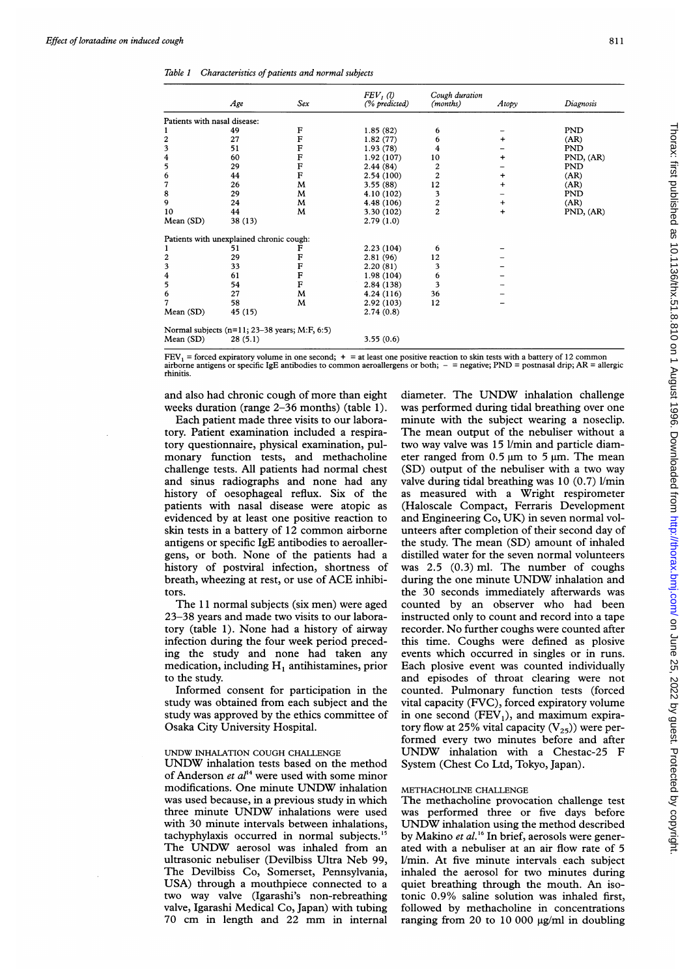Table 1 Characteristics of patients and normal subjects

|                                                 | Age     | Sex         | FEV, (1)<br>(% predicted) | Cough duration<br>(months) | Atopy     | Diagnosis  |
|-------------------------------------------------|---------|-------------|---------------------------|----------------------------|-----------|------------|
| Patients with nasal disease:                    |         |             |                           |                            |           |            |
| 1                                               | 49      | F           | 1.85(82)                  | 6                          |           | <b>PND</b> |
| 2                                               | 27      | F           | 1.82(77)                  | 6                          | +         | (AR)       |
| 3                                               | 51      | $\mathbf F$ | 1.93(78)                  | 4                          |           | <b>PND</b> |
| 4                                               | 60      | F           | 1.92(107)                 | 10                         | +         | PND, (AR)  |
| 5                                               | 29      | ${\bf F}$   | 2.44(84)                  | 2                          |           | <b>PND</b> |
| 6                                               | 44      | $\mathbf F$ | 2.54(100)                 | 2                          | +         | (AR)       |
| $\overline{7}$                                  | 26      | M           | 3.55(88)                  | 12                         | +         | (AR)       |
| 8                                               | 29      | M           | 4.10 (102)                | 3                          |           | <b>PND</b> |
| 9                                               | 24      | M           | 4.48 (106)                | 2                          | $\ddot{}$ | (AR)       |
| 10                                              | 44      | M           | 3.30(102)                 | $\overline{c}$             | +         | PND, (AR)  |
| Mean (SD)                                       | 38 (13) |             | 2.79(1.0)                 |                            |           |            |
| Patients with unexplained chronic cough:        |         |             |                           |                            |           |            |
| ı                                               | 51      | F           | 2.23(104)                 | 6                          |           |            |
| $\mathbf{2}$                                    | 29      | F           | 2.81(96)                  | 12                         |           |            |
| 3                                               | 33      | F           | 2.20(81)                  | 3                          |           |            |
| 4                                               | 61      | F           | 1.98(104)                 | 6                          |           |            |
| 5                                               | 54      | $\mathbf F$ | 2.84(138)                 | 3                          |           |            |
| 6                                               | 27      | M           | 4.24 (116)                | 36                         |           |            |
| 7                                               | 58      | M           | 2.92(103)                 | 12                         |           |            |
| Mean (SD)                                       | 45(15)  |             | 2.74(0.8)                 |                            |           |            |
| Normal subjects $(n=11; 23-38$ years; M:F, 6:5) |         |             |                           |                            |           |            |
| Mean (SD)                                       | 28(5.1) |             | 3.55(0.6)                 |                            |           |            |

 $\text{FEV}_1$  = forced expiratory volume in one second; + = at least one positive reaction to skin tests with a battery of 12 common<br>airborne antigens or specific IgE antibodies to common aeroallergens or both; – = negative; rhinitis.

and also had chronic cough of more than eight weeks duration (range 2-36 months) (table 1).

Each patient made three visits to our laboratory. Patient examination included a respiratory questionnaire, physical examination, pulmonary function tests, and methacholine challenge tests. All patients had normal chest and sinus radiographs and none had any history of oesophageal reflux. Six of the patients with nasal disease were atopic as evidenced by at least one positive reaction to skin tests in <sup>a</sup> battery of 12 common airborne antigens or specific IgE antibodies to aeroallergens, or both. None of the patients had <sup>a</sup> history of postviral infection, shortness of breath, wheezing at rest, or use of ACE inhibitors.

The 11 normal subjects (six men) were aged 23-38 years and made two visits to our laboratory (table 1). None had <sup>a</sup> history of airway infection during the four week period preceding the study and none had taken any medication, including  $H_1$  antihistamines, prior to the study.

Informed consent for participation in the study was obtained from each subject and the study was approved by the ethics committee of Osaka City University Hospital.

# UNDW INHALATION COUGH CHALLENGE

UNDW inhalation tests based on the method of Anderson *et*  $al<sup>14</sup>$  were used with some minor modifications. One minute UNDW inhalation was used because, in a previous study in which three minute UNDW inhalations were used with 30 minute intervals between inhalations, tachyphylaxis occurred in normal subjects.<sup>19</sup> The UNDW aerosol was inhaled from an ultrasonic nebuliser (Devilbiss Ultra Neb 99, The Devilbiss Co, Somerset, Pennsylvania, USA) through <sup>a</sup> mouthpiece connected to <sup>a</sup> two way valve (Igarashi's non-rebreathing valve, Igarashi Medical Co, Japan) with tubing <sup>70</sup> cm in length and <sup>22</sup> mm in internal diameter. The UNDW inhalation challenge was performed during tidal breathing over one minute with the subject wearing a noseclip. The mean output of the nebuliser without a two way valve was 15 1/min and particle diameter ranged from  $0.5 \mu m$  to  $5 \mu m$ . The mean (SD) output of the nebuliser with a two way valve during tidal breathing was 10 (0.7) 1/min as measured with a Wright respirometer (Haloscale Compact, Ferraris Development and Engineering Co, UK) in seven normal volunteers after completion of their second day of the study. The mean (SD) amount of inhaled distilled water for the seven normal volunteers was 2.5 (0.3) ml. The number of coughs during the one minute UNDW inhalation and the 30 seconds immediately afterwards was counted by an observer who had been instructed only to count and record into a tape recorder. No further coughs were counted after this time. Coughs were defined as plosive events which occurred in singles or in runs. Each plosive event was counted individually and episodes of throat clearing were not counted. Pulmonary function tests (forced vital capacity (FVC), forced expiratory volume in one second  $(FEV_1)$ , and maximum expiratory flow at 25% vital capacity  $(V_{25})$ ) were performed every two minutes before and after UNDW inhalation with <sup>a</sup> Chestac-25 F System (Chest Co Ltd, Tokyo, Japan).

# METHACHOLINE CHALLENGE

The methacholine provocation challenge test was performed three or five days before UNDW inhalation using the method described by Makino et al.<sup>16</sup> In brief, aerosols were generated with a nebuliser at an air flow rate of 5 1/min. At five minute intervals each subject inhaled the aerosol for two minutes during quiet breathing through the mouth. An isotonic 0.9% saline solution was inhaled first, followed by methacholine in concentrations ranging from 20 to 10 000  $\mu$ g/ml in doubling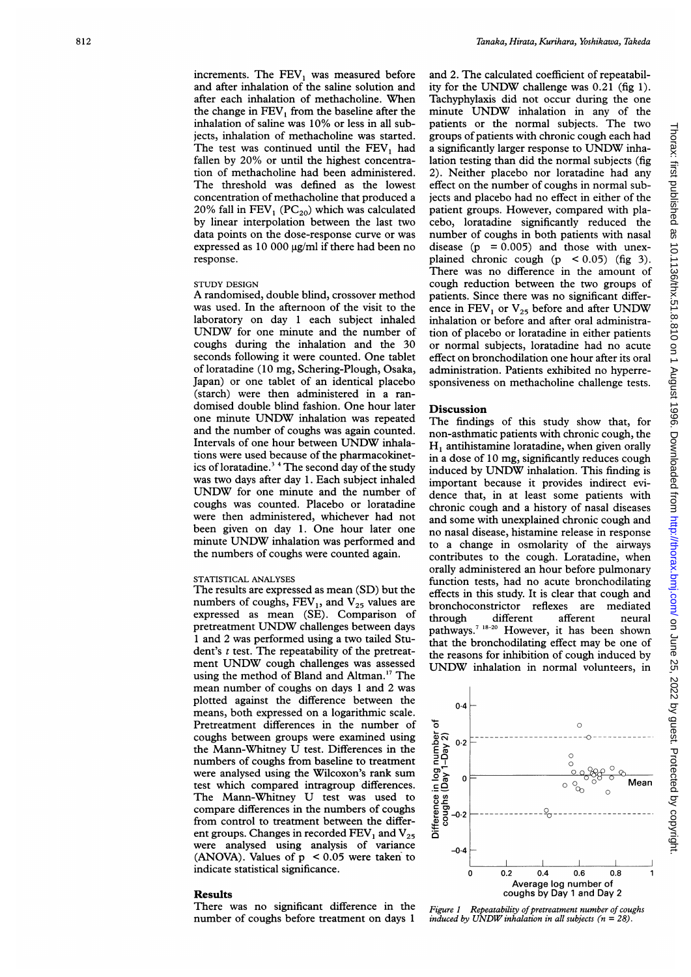increments. The FEV<sub>1</sub> was measured before and after inhalation of the saline solution and after each inhalation of methacholine. When the change in  $FEV<sub>1</sub>$  from the baseline after the inhalation of saline was 10% or less in all subjects, inhalation of methacholine was started. The test was continued until the FEV, had fallen by 20% or until the highest concentration of methacholine had been administered. The threshold was defined as the lowest concentration of methacholine that produced a 20% fall in  $\text{FEV}_1$  (PC<sub>20</sub>) which was calculated by linear interpolation between the last two data points on the dose-response curve or was expressed as  $10000 \mu g/ml$  if there had been no response.

STUDY DESIGN <sup>A</sup> randomised, double blind, crossover method was used. In the afternoon of the visit to the laboratory on day <sup>1</sup> each subject inhaled UNDW for one minute and the number of coughs during the inhalation and the 30 seconds following it were counted. One tablet of loratadine (10 mg, Schering-Plough, Osaka, Japan) or one tablet of an identical placebo (starch) were then administered in a randomised double blind fashion. One hour later one minute UNDW inhalation was repeated and the number of coughs was again counted. Intervals of one hour between UNDW inhalations were used because of the pharmacokinetics of loratadine.<sup>34</sup> The second day of the study was two days after day 1. Each subject inhaled UNDW for one minute and the number of coughs was counted. Placebo or loratadine were then administered, whichever had not been given on day 1. One hour later one minute UNDW inhalation was performed and the numbers of coughs were counted again.

## STATISTICAL ANALYSES

The results are expressed as mean (SD) but the numbers of coughs,  $FEV<sub>1</sub>$ , and  $V<sub>25</sub>$  values are expressed as mean (SE). Comparison of pretreatment UNDW challenges between days <sup>1</sup> and 2 was performed using a two tailed Student's  $t$  test. The repeatability of the pretreatment UNDW cough challenges was assessed using the method of Bland and Altman.'7 The mean number of coughs on days <sup>1</sup> and 2 was plotted against the difference between the means, both expressed on a logarithmic scale. Pretreatment differences in the number of coughs between groups were examined using the Mann-Whitney U test. Differences in the numbers of coughs from baseline to treatment were analysed using the Wilcoxon's rank sum test which compared intragroup differences. The Mann-Whitney U test was used to compare differences in the numbers of coughs from control to treatment between the different groups. Changes in recorded  $FEV_1$  and  $V_{25}$ were analysed using analysis of variance (ANOVA). Values of  $p \leq 0.05$  were taken to indicate statistical significance.

# Results

There was no significant difference in the number of coughs before treatment on days 1

and 2. The calculated coefficient of repeatability for the UNDW challenge was 0.21 (fig 1). Tachyphylaxis did not occur during the one minute UNDW inhalation in any of the patients or the normal subjects. The two groups of patients with chronic cough each had <sup>a</sup> significantly larger response to UNDW inhalation testing than did the normal subjects (fig 2). Neither placebo nor loratadine had any effect on the number of coughs in normal subjects and placebo had no effect in either of the patient groups. However, compared with placebo, loratadine significantly reduced the number of coughs in both patients with nasal disease  $(p = 0.005)$  and those with unexplained chronic cough  $(p \lt 0.05)$  (fig 3). There was no difference in the amount of cough reduction between the two groups of patients. Since there was no significant difference in  $FEV_1$  or  $V_{25}$  before and after UNDW inhalation or before and after oral administration of placebo or loratadine in either patients or normal subjects, loratadine had no acute effect on bronchodilation one hour after its oral administration. Patients exhibited no hyperresponsiveness on methacholine challenge tests.

### Discussion

0-4

The findings of this study show that, for non-asthmatic patients with chronic cough, the  $H<sub>1</sub>$  antihistamine loratadine, when given orally in a dose of 10 mg, significantly reduces cough induced by UNDW inhalation. This finding is important because it provides indirect evidence that, in at least some patients with chronic cough and a history of nasal diseases and some with unexplained chronic cough and no nasal disease, histamine release in response to a change in osmolarity of the airways contributes to the cough. Loratadine, when orally administered an hour before pulmonary function tests, had no acute bronchodilating effects in this study. It is clear that cough and bronchoconstrictor reflexes are mediated through different afferent neural pathways.7 18-20 However, it has been shown that the bronchodilating effect may be one of the reasons for inhibition of cough induced by UNDW inhalation in normal volunteers, in



Thorax: first published

9S



Figure 1 Repeatability of pretreatment number of coughs  $induced by UNDW$  inhalation in all subjects  $(n = 28)$ .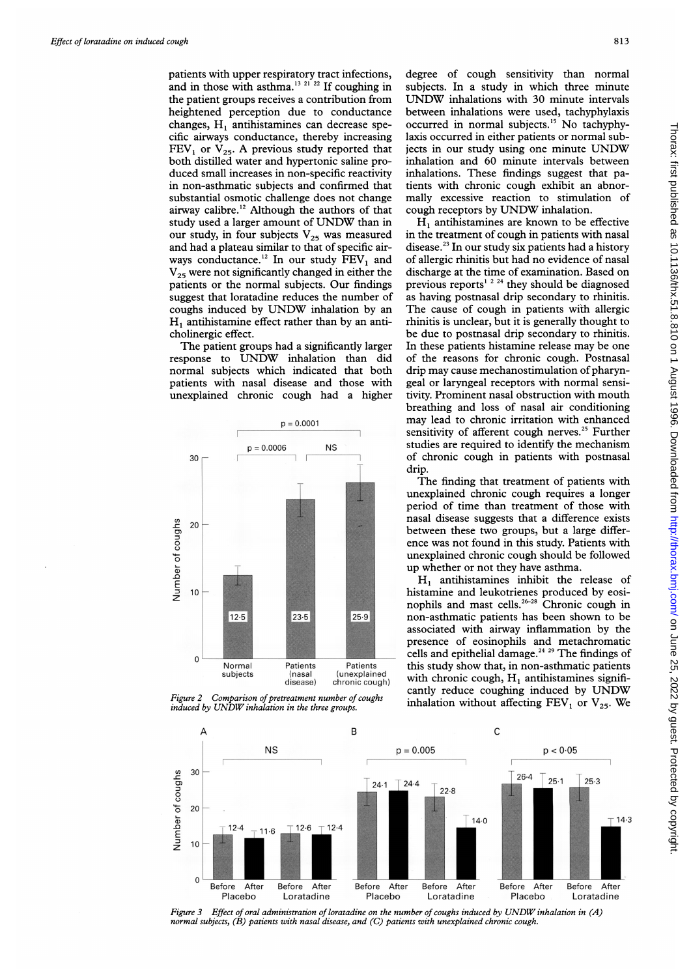patients with upper respiratory tract infections, and in those with asthma.'3 <sup>21</sup> <sup>22</sup> If coughing in the patient groups receives a contribution from heightened perception due to conductance changes,  $H_1$  antihistamines can decrease specific airways conductance, thereby increasing  $FEV<sub>1</sub>$  or  $V<sub>25</sub>$ . A previous study reported that both distilled water and hypertonic saline produced small increases in non-specific reactivity in non-asthmatic subjects and confirmed that substantial osmotic challenge does not change airway calibre.'2 Although the authors of that study used <sup>a</sup> larger amount of UNDW than in our study, in four subjects  $V_{25}$  was measured and had a plateau similar to that of specific airways conductance.<sup>12</sup> In our study  $\text{FEV}_1$  and  $V_{25}$  were not significantly changed in either the patients or the normal subjects. Our findings suggest that loratadine reduces the number of coughs induced by UNDW inhalation by an  $H<sub>1</sub>$  antihistamine effect rather than by an anticholinergic effect.

The patient groups had a significantly larger response to UNDW inhalation than did normal subjects which indicated that both patients with nasal disease and those with unexplained chronic cough had a higher



Figure 2 Comparison of pretreatment number of coughs<br>induced by UNDW inhalation in the three groups.

degree of cough sensitivity than normal subjects. In a study in which three minute UNDW inhalations with <sup>30</sup> minute intervals between inhalations were used, tachyphylaxis occurred in normal subjects.<sup>15</sup> No tachyphylaxis occurred in either patients or normal subjects in our study using one minute UNDW inhalation and 60 minute intervals between inhalations. These findings suggest that patients with chronic cough exhibit an abnormally excessive reaction to stimulation of cough receptors by UNDW inhalation.

 $H<sub>1</sub>$  antihistamines are known to be effective in the treatment of cough in patients with nasal disease.<sup>23</sup> In our study six patients had a history of allergic rhinitis but had no evidence of nasal discharge at the time of examination. Based on previous reports<sup> $1, 2, 24$ </sup> they should be diagnosed as having postnasal drip secondary to rhinitis. The cause of cough in patients with allergic rhinitis is unclear, but it is generally thought to be due to postnasal drip secondary to rhinitis. In these patients histamine release may be one of the reasons for chronic cough. Postnasal drip may cause mechanostimulation of pharyngeal or laryngeal receptors with normal sensitivity. Prominent nasal obstruction with mouth breathing and loss of nasal air conditioning may lead to chronic irritation with enhanced sensitivity of afferent cough nerves.<sup>25</sup> Further studies are required to identify the mechanism of chronic cough in patients with postnasal drip.

The finding that treatment of patients with unexplained chronic cough requires a longer period of time than treatment of those with nasal disease suggests that a difference exists between these two groups, but a large difference was not found in this study. Patients with unexplained chronic cough should be followed up whether or not they have asthma.

H, antihistamines inhibit the release of histamine and leukotrienes produced by eosinophils and mast cells.<sup>20-28</sup> Chronic cough in non-asthmatic patients has been shown to be associated with airway inflammation by the presence of eosinophils and metachromatic cells and epithelial damage.<sup>24 29</sup> The findings of this study show that, in non-asthmatic patients with chronic cough,  $H_1$  antihistamines significantly reduce coughing induced by UNDW inhalation without affecting  $FEV_1$  or  $V_{25}$ . We



Figure 3 Effect of oral administration of loratadine on the number of coughs induced by UNDW inhalation in (A) normal subjects, (B) patients with nasal disease, and (C) patients with unexplained chronic cough.